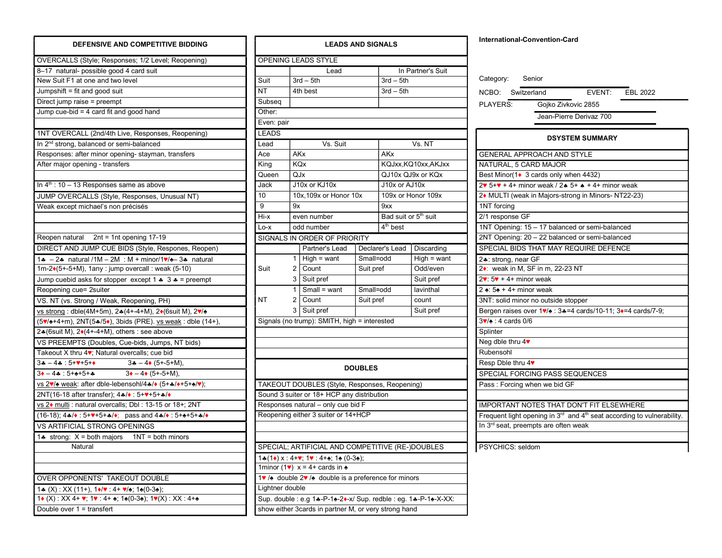| OVERCALLS (Style; Responses; 1/2 Level; Reopening)<br>8-17 natural- possible good 4 card suit<br>New Suit F1 at one and two level<br>Jumpshift = fit and good suit<br>Direct jump raise = preempt<br>Jump cue-bid = 4 card fit and good hand<br>1NT OVERCALL (2nd/4th Live, Responses, Reopening)<br>In 2 <sup>nd</sup> strong, balanced or semi-balanced<br>Responses: after minor opening- stayman, transfers<br>After major opening - transfers<br>In $4th$ : 10 – 13 Responses same as above<br>JUMP OVERCALLS (Style, Responses, Unusual NT)<br>Weak except michael's non précisés<br>Reopen natural 2nt = 1nt opening 17-19<br>DIRECT AND JUMP CUE BIDS (Style, Respones, Reopen)<br>1. - 2. natural /1M - 2M : M + minor/1 $\sqrt{2}$ - 3. natural<br>1m-2•(5+-5+M), 1any : jump overcall : weak (5-10)<br>Jump cuebid asks for stopper except 1 $\clubsuit$ 3 $\clubsuit$ = preempt<br>Reopening cue= 2suiter<br>VS. NT (vs. Strong / Weak, Reopening, PH)<br><u>vs strong</u> : dble(4M+5m), 2♣(4+-4+M), 2♦(6suit M), 2♥/♠<br>(5♥/♠+4+m), 2NT(5♣/5♦), 3bids (PRE). <u>vs weak</u> : dble (14+),<br>2.4(6suit M), 2.(4+-4+M), others : see above<br>VS PREEMPTS (Doubles, Cue-bids, Jumps, NT bids)<br>Takeout X thru 4♥; Natural overcalls; cue bid<br>$3 - 4 \cdot (5 - 5 + M),$<br>$3 - 4 - 5 + 7 + 5 + 6$<br>$3\bullet - 4\cdot 5 + \cdot 5 + \cdot \cdot$<br>$3\bullet - 4\bullet (5 + -5 + M),$<br>vs 2v/ ÷ weak: after dble-lebensohl/4∗/◆ (5+∗/◆+5+∗/♥);<br>2NT(16-18 after transfer); 4*/*: 5+*+5+*/*<br>vs 2◆ multi : natural overcalls; Dbl : 13-15 or 18+; 2NT<br>$(16-18)$ ; 4*/◆ : 5+♥+5+*/◆; pass and 4*/◆ : 5+ $\text{+}$ 5+*/◆<br>VS ARTIFICIAL STRONG OPENINGS<br>1. strong: $X =$ both majors 1NT = both minors<br>Natural<br><b>OVER OPPONENTS' TAKEOUT DOUBLE</b><br>1.4 (X) : XX (11+), $1\bullet/\bullet$ : $4+\bullet/\bullet$ ; $1\bullet(0-3\bullet)$ ;<br>$1\bullet$ (X) : XX 4+ $\bullet$ ; 1 $\bullet$ : 4+ $\bullet$ ; 1 $\bullet$ (0-3 $\bullet$ ); 1 $\bullet$ (X) : XX : 4+ $\bullet$ | <b>DEFENSIVE AND COMPETITIVE BIDDING</b> |
|--------------------------------------------------------------------------------------------------------------------------------------------------------------------------------------------------------------------------------------------------------------------------------------------------------------------------------------------------------------------------------------------------------------------------------------------------------------------------------------------------------------------------------------------------------------------------------------------------------------------------------------------------------------------------------------------------------------------------------------------------------------------------------------------------------------------------------------------------------------------------------------------------------------------------------------------------------------------------------------------------------------------------------------------------------------------------------------------------------------------------------------------------------------------------------------------------------------------------------------------------------------------------------------------------------------------------------------------------------------------------------------------------------------------------------------------------------------------------------------------------------------------------------------------------------------------------------------------------------------------------------------------------------------------------------------------------------------------------------------------------------------------------------------------------------------------------------------------------------------------------------------------------------------------------------------------------------------------------------------------------------------------------------|------------------------------------------|
|                                                                                                                                                                                                                                                                                                                                                                                                                                                                                                                                                                                                                                                                                                                                                                                                                                                                                                                                                                                                                                                                                                                                                                                                                                                                                                                                                                                                                                                                                                                                                                                                                                                                                                                                                                                                                                                                                                                                                                                                                                |                                          |
|                                                                                                                                                                                                                                                                                                                                                                                                                                                                                                                                                                                                                                                                                                                                                                                                                                                                                                                                                                                                                                                                                                                                                                                                                                                                                                                                                                                                                                                                                                                                                                                                                                                                                                                                                                                                                                                                                                                                                                                                                                |                                          |
|                                                                                                                                                                                                                                                                                                                                                                                                                                                                                                                                                                                                                                                                                                                                                                                                                                                                                                                                                                                                                                                                                                                                                                                                                                                                                                                                                                                                                                                                                                                                                                                                                                                                                                                                                                                                                                                                                                                                                                                                                                |                                          |
|                                                                                                                                                                                                                                                                                                                                                                                                                                                                                                                                                                                                                                                                                                                                                                                                                                                                                                                                                                                                                                                                                                                                                                                                                                                                                                                                                                                                                                                                                                                                                                                                                                                                                                                                                                                                                                                                                                                                                                                                                                |                                          |
|                                                                                                                                                                                                                                                                                                                                                                                                                                                                                                                                                                                                                                                                                                                                                                                                                                                                                                                                                                                                                                                                                                                                                                                                                                                                                                                                                                                                                                                                                                                                                                                                                                                                                                                                                                                                                                                                                                                                                                                                                                |                                          |
|                                                                                                                                                                                                                                                                                                                                                                                                                                                                                                                                                                                                                                                                                                                                                                                                                                                                                                                                                                                                                                                                                                                                                                                                                                                                                                                                                                                                                                                                                                                                                                                                                                                                                                                                                                                                                                                                                                                                                                                                                                |                                          |
|                                                                                                                                                                                                                                                                                                                                                                                                                                                                                                                                                                                                                                                                                                                                                                                                                                                                                                                                                                                                                                                                                                                                                                                                                                                                                                                                                                                                                                                                                                                                                                                                                                                                                                                                                                                                                                                                                                                                                                                                                                |                                          |
|                                                                                                                                                                                                                                                                                                                                                                                                                                                                                                                                                                                                                                                                                                                                                                                                                                                                                                                                                                                                                                                                                                                                                                                                                                                                                                                                                                                                                                                                                                                                                                                                                                                                                                                                                                                                                                                                                                                                                                                                                                |                                          |
|                                                                                                                                                                                                                                                                                                                                                                                                                                                                                                                                                                                                                                                                                                                                                                                                                                                                                                                                                                                                                                                                                                                                                                                                                                                                                                                                                                                                                                                                                                                                                                                                                                                                                                                                                                                                                                                                                                                                                                                                                                |                                          |
|                                                                                                                                                                                                                                                                                                                                                                                                                                                                                                                                                                                                                                                                                                                                                                                                                                                                                                                                                                                                                                                                                                                                                                                                                                                                                                                                                                                                                                                                                                                                                                                                                                                                                                                                                                                                                                                                                                                                                                                                                                |                                          |
|                                                                                                                                                                                                                                                                                                                                                                                                                                                                                                                                                                                                                                                                                                                                                                                                                                                                                                                                                                                                                                                                                                                                                                                                                                                                                                                                                                                                                                                                                                                                                                                                                                                                                                                                                                                                                                                                                                                                                                                                                                |                                          |
|                                                                                                                                                                                                                                                                                                                                                                                                                                                                                                                                                                                                                                                                                                                                                                                                                                                                                                                                                                                                                                                                                                                                                                                                                                                                                                                                                                                                                                                                                                                                                                                                                                                                                                                                                                                                                                                                                                                                                                                                                                |                                          |
|                                                                                                                                                                                                                                                                                                                                                                                                                                                                                                                                                                                                                                                                                                                                                                                                                                                                                                                                                                                                                                                                                                                                                                                                                                                                                                                                                                                                                                                                                                                                                                                                                                                                                                                                                                                                                                                                                                                                                                                                                                |                                          |
|                                                                                                                                                                                                                                                                                                                                                                                                                                                                                                                                                                                                                                                                                                                                                                                                                                                                                                                                                                                                                                                                                                                                                                                                                                                                                                                                                                                                                                                                                                                                                                                                                                                                                                                                                                                                                                                                                                                                                                                                                                |                                          |
|                                                                                                                                                                                                                                                                                                                                                                                                                                                                                                                                                                                                                                                                                                                                                                                                                                                                                                                                                                                                                                                                                                                                                                                                                                                                                                                                                                                                                                                                                                                                                                                                                                                                                                                                                                                                                                                                                                                                                                                                                                |                                          |
|                                                                                                                                                                                                                                                                                                                                                                                                                                                                                                                                                                                                                                                                                                                                                                                                                                                                                                                                                                                                                                                                                                                                                                                                                                                                                                                                                                                                                                                                                                                                                                                                                                                                                                                                                                                                                                                                                                                                                                                                                                |                                          |
|                                                                                                                                                                                                                                                                                                                                                                                                                                                                                                                                                                                                                                                                                                                                                                                                                                                                                                                                                                                                                                                                                                                                                                                                                                                                                                                                                                                                                                                                                                                                                                                                                                                                                                                                                                                                                                                                                                                                                                                                                                |                                          |
|                                                                                                                                                                                                                                                                                                                                                                                                                                                                                                                                                                                                                                                                                                                                                                                                                                                                                                                                                                                                                                                                                                                                                                                                                                                                                                                                                                                                                                                                                                                                                                                                                                                                                                                                                                                                                                                                                                                                                                                                                                |                                          |
|                                                                                                                                                                                                                                                                                                                                                                                                                                                                                                                                                                                                                                                                                                                                                                                                                                                                                                                                                                                                                                                                                                                                                                                                                                                                                                                                                                                                                                                                                                                                                                                                                                                                                                                                                                                                                                                                                                                                                                                                                                |                                          |
|                                                                                                                                                                                                                                                                                                                                                                                                                                                                                                                                                                                                                                                                                                                                                                                                                                                                                                                                                                                                                                                                                                                                                                                                                                                                                                                                                                                                                                                                                                                                                                                                                                                                                                                                                                                                                                                                                                                                                                                                                                |                                          |
|                                                                                                                                                                                                                                                                                                                                                                                                                                                                                                                                                                                                                                                                                                                                                                                                                                                                                                                                                                                                                                                                                                                                                                                                                                                                                                                                                                                                                                                                                                                                                                                                                                                                                                                                                                                                                                                                                                                                                                                                                                |                                          |
|                                                                                                                                                                                                                                                                                                                                                                                                                                                                                                                                                                                                                                                                                                                                                                                                                                                                                                                                                                                                                                                                                                                                                                                                                                                                                                                                                                                                                                                                                                                                                                                                                                                                                                                                                                                                                                                                                                                                                                                                                                |                                          |
|                                                                                                                                                                                                                                                                                                                                                                                                                                                                                                                                                                                                                                                                                                                                                                                                                                                                                                                                                                                                                                                                                                                                                                                                                                                                                                                                                                                                                                                                                                                                                                                                                                                                                                                                                                                                                                                                                                                                                                                                                                |                                          |
|                                                                                                                                                                                                                                                                                                                                                                                                                                                                                                                                                                                                                                                                                                                                                                                                                                                                                                                                                                                                                                                                                                                                                                                                                                                                                                                                                                                                                                                                                                                                                                                                                                                                                                                                                                                                                                                                                                                                                                                                                                |                                          |
|                                                                                                                                                                                                                                                                                                                                                                                                                                                                                                                                                                                                                                                                                                                                                                                                                                                                                                                                                                                                                                                                                                                                                                                                                                                                                                                                                                                                                                                                                                                                                                                                                                                                                                                                                                                                                                                                                                                                                                                                                                |                                          |
|                                                                                                                                                                                                                                                                                                                                                                                                                                                                                                                                                                                                                                                                                                                                                                                                                                                                                                                                                                                                                                                                                                                                                                                                                                                                                                                                                                                                                                                                                                                                                                                                                                                                                                                                                                                                                                                                                                                                                                                                                                |                                          |
|                                                                                                                                                                                                                                                                                                                                                                                                                                                                                                                                                                                                                                                                                                                                                                                                                                                                                                                                                                                                                                                                                                                                                                                                                                                                                                                                                                                                                                                                                                                                                                                                                                                                                                                                                                                                                                                                                                                                                                                                                                |                                          |
|                                                                                                                                                                                                                                                                                                                                                                                                                                                                                                                                                                                                                                                                                                                                                                                                                                                                                                                                                                                                                                                                                                                                                                                                                                                                                                                                                                                                                                                                                                                                                                                                                                                                                                                                                                                                                                                                                                                                                                                                                                |                                          |
|                                                                                                                                                                                                                                                                                                                                                                                                                                                                                                                                                                                                                                                                                                                                                                                                                                                                                                                                                                                                                                                                                                                                                                                                                                                                                                                                                                                                                                                                                                                                                                                                                                                                                                                                                                                                                                                                                                                                                                                                                                |                                          |
|                                                                                                                                                                                                                                                                                                                                                                                                                                                                                                                                                                                                                                                                                                                                                                                                                                                                                                                                                                                                                                                                                                                                                                                                                                                                                                                                                                                                                                                                                                                                                                                                                                                                                                                                                                                                                                                                                                                                                                                                                                |                                          |
|                                                                                                                                                                                                                                                                                                                                                                                                                                                                                                                                                                                                                                                                                                                                                                                                                                                                                                                                                                                                                                                                                                                                                                                                                                                                                                                                                                                                                                                                                                                                                                                                                                                                                                                                                                                                                                                                                                                                                                                                                                |                                          |
|                                                                                                                                                                                                                                                                                                                                                                                                                                                                                                                                                                                                                                                                                                                                                                                                                                                                                                                                                                                                                                                                                                                                                                                                                                                                                                                                                                                                                                                                                                                                                                                                                                                                                                                                                                                                                                                                                                                                                                                                                                |                                          |
|                                                                                                                                                                                                                                                                                                                                                                                                                                                                                                                                                                                                                                                                                                                                                                                                                                                                                                                                                                                                                                                                                                                                                                                                                                                                                                                                                                                                                                                                                                                                                                                                                                                                                                                                                                                                                                                                                                                                                                                                                                |                                          |
|                                                                                                                                                                                                                                                                                                                                                                                                                                                                                                                                                                                                                                                                                                                                                                                                                                                                                                                                                                                                                                                                                                                                                                                                                                                                                                                                                                                                                                                                                                                                                                                                                                                                                                                                                                                                                                                                                                                                                                                                                                |                                          |
|                                                                                                                                                                                                                                                                                                                                                                                                                                                                                                                                                                                                                                                                                                                                                                                                                                                                                                                                                                                                                                                                                                                                                                                                                                                                                                                                                                                                                                                                                                                                                                                                                                                                                                                                                                                                                                                                                                                                                                                                                                |                                          |
|                                                                                                                                                                                                                                                                                                                                                                                                                                                                                                                                                                                                                                                                                                                                                                                                                                                                                                                                                                                                                                                                                                                                                                                                                                                                                                                                                                                                                                                                                                                                                                                                                                                                                                                                                                                                                                                                                                                                                                                                                                |                                          |
|                                                                                                                                                                                                                                                                                                                                                                                                                                                                                                                                                                                                                                                                                                                                                                                                                                                                                                                                                                                                                                                                                                                                                                                                                                                                                                                                                                                                                                                                                                                                                                                                                                                                                                                                                                                                                                                                                                                                                                                                                                |                                          |
|                                                                                                                                                                                                                                                                                                                                                                                                                                                                                                                                                                                                                                                                                                                                                                                                                                                                                                                                                                                                                                                                                                                                                                                                                                                                                                                                                                                                                                                                                                                                                                                                                                                                                                                                                                                                                                                                                                                                                                                                                                |                                          |
|                                                                                                                                                                                                                                                                                                                                                                                                                                                                                                                                                                                                                                                                                                                                                                                                                                                                                                                                                                                                                                                                                                                                                                                                                                                                                                                                                                                                                                                                                                                                                                                                                                                                                                                                                                                                                                                                                                                                                                                                                                |                                          |
|                                                                                                                                                                                                                                                                                                                                                                                                                                                                                                                                                                                                                                                                                                                                                                                                                                                                                                                                                                                                                                                                                                                                                                                                                                                                                                                                                                                                                                                                                                                                                                                                                                                                                                                                                                                                                                                                                                                                                                                                                                |                                          |
|                                                                                                                                                                                                                                                                                                                                                                                                                                                                                                                                                                                                                                                                                                                                                                                                                                                                                                                                                                                                                                                                                                                                                                                                                                                                                                                                                                                                                                                                                                                                                                                                                                                                                                                                                                                                                                                                                                                                                                                                                                |                                          |
|                                                                                                                                                                                                                                                                                                                                                                                                                                                                                                                                                                                                                                                                                                                                                                                                                                                                                                                                                                                                                                                                                                                                                                                                                                                                                                                                                                                                                                                                                                                                                                                                                                                                                                                                                                                                                                                                                                                                                                                                                                |                                          |
|                                                                                                                                                                                                                                                                                                                                                                                                                                                                                                                                                                                                                                                                                                                                                                                                                                                                                                                                                                                                                                                                                                                                                                                                                                                                                                                                                                                                                                                                                                                                                                                                                                                                                                                                                                                                                                                                                                                                                                                                                                |                                          |
|                                                                                                                                                                                                                                                                                                                                                                                                                                                                                                                                                                                                                                                                                                                                                                                                                                                                                                                                                                                                                                                                                                                                                                                                                                                                                                                                                                                                                                                                                                                                                                                                                                                                                                                                                                                                                                                                                                                                                                                                                                | Double over 1 = transfert                |

|                 |    | <b>LEADS AND SIGNALS</b>                                                                   | International-Convention-Card     |                                  |               |                                                |  |
|-----------------|----|--------------------------------------------------------------------------------------------|-----------------------------------|----------------------------------|---------------|------------------------------------------------|--|
|                 |    | OPENING LEADS STYLE                                                                        |                                   |                                  |               |                                                |  |
|                 |    | Lead                                                                                       |                                   | In Partner's Suit                |               |                                                |  |
| Suit            |    | $3rd - 5th$                                                                                |                                   | $3rd - 5th$                      |               | Category:<br>Senior                            |  |
| <b>NT</b>       |    | 4th best                                                                                   |                                   | $3rd - 5th$                      |               | NCBO: Switzerland                              |  |
| Subseq          |    |                                                                                            |                                   |                                  |               | PLAYERS:<br>Gojko Zivkovi                      |  |
| Other:          |    |                                                                                            |                                   |                                  |               | Jean-Pierre D                                  |  |
| Even: pair      |    |                                                                                            |                                   |                                  |               |                                                |  |
| <b>LEADS</b>    |    |                                                                                            |                                   |                                  |               | <b>DSYSTEM</b>                                 |  |
| Lead            |    | Vs. Suit                                                                                   |                                   |                                  | Vs. NT        |                                                |  |
| Ace             |    | AKx                                                                                        |                                   | AKx                              |               | <b>GENERAL APPROACH AND ST</b>                 |  |
| King            |    | <b>KQx</b>                                                                                 |                                   | KQJxx, KQ10xx, AKJxx             |               | NATURAL, 5 CARD MAJOR                          |  |
| Queen           |    | QJx                                                                                        |                                   | QJ10x QJ9x or KQx                |               | Best Minor(1♦ 3 cards only when                |  |
| Jack            |    | J10x or KJ10x                                                                              |                                   | J10x or AJ10x                    |               | $2 \cdot 5 + \cdot 4 +$ minor weak / 2. 5+     |  |
| 10              |    | 10x, 109x or Honor 10x                                                                     |                                   | 109x or Honor 109x               |               | 2◆ MULTI (weak in Majors-strong                |  |
| 9               | 9x |                                                                                            |                                   | 9xx                              |               | 1NT forcing                                    |  |
| Hi-x            |    | even number                                                                                |                                   | Bad suit or 5 <sup>th</sup> suit |               | 2/1 response GF                                |  |
| Lo-x            |    | odd number                                                                                 |                                   | $4th$ best                       |               | 1NT Opening: 15 - 17 balanced                  |  |
|                 |    | SIGNALS IN ORDER OF PRIORITY                                                               |                                   |                                  |               | 2NT Opening: 20 - 22 balanced                  |  |
|                 |    | Partner's Lead                                                                             |                                   | Declarer's Lead                  | Discarding    | SPECIAL BIDS THAT MAY REQ                      |  |
|                 |    | 1   High = want                                                                            | Small=odd                         |                                  | $High = want$ | 2. strong, near GF                             |  |
| Suit            |    | 2   Count                                                                                  | Suit pref                         |                                  | Odd/even      | 2•: weak in M, SF in m, 22-23 N                |  |
|                 |    | 3   Suit pref                                                                              |                                   |                                  | Suit pref     | $2\cdot 5\cdot + 4 +$ minor weak               |  |
|                 |    | 1   Small = want                                                                           | Small=odd                         |                                  | lavinthal     | 2 $\div$ : 5 $\div$ + 4+ minor weak            |  |
| <b>NT</b>       |    | 2   Count                                                                                  | Suit pref                         |                                  | count         | 3NT: solid minor no outside stopp              |  |
|                 |    | 3   Suit pref                                                                              |                                   |                                  | Suit pref     | Bergen raises over 1% ± : 3.4=4 c              |  |
|                 |    | Signals (no trump): SMITH, high = interested                                               | $3\sqrt{4}$ : 4 cards 0/6         |                                  |               |                                                |  |
|                 |    |                                                                                            |                                   |                                  |               | Splinter                                       |  |
|                 |    |                                                                                            |                                   |                                  |               | Neg dble thru $4\blacktriangledown$            |  |
|                 |    |                                                                                            | Rubensohl                         |                                  |               |                                                |  |
|                 |    |                                                                                            |                                   |                                  |               | Resp Dble thru 4                               |  |
|                 |    |                                                                                            | <b>DOUBLES</b>                    |                                  |               | SPECIAL FORCING PASS SEQ                       |  |
|                 |    | TAKEOUT DOUBLES (Style, Responses, Reopening)                                              | Pass: Forcing when we bid GF      |                                  |               |                                                |  |
|                 |    | Sound 3 suiter or 18+ HCP any distribution                                                 |                                   |                                  |               |                                                |  |
|                 |    | Responses natural - only cue bid F                                                         | <b>IMPORTANT NOTES THAT DON</b>   |                                  |               |                                                |  |
|                 |    | Reopening either 3 suiter or 14+HCP                                                        | Frequent light opening in 3rd and |                                  |               |                                                |  |
|                 |    |                                                                                            |                                   |                                  |               | In 3 <sup>rd</sup> seat, preempts are often we |  |
|                 |    |                                                                                            |                                   |                                  |               |                                                |  |
|                 |    | SPECIAL; ARTIFICIAL AND COMPETITIVE (RE-)DOUBLES                                           |                                   |                                  |               | PSYCHICS: seldom                               |  |
|                 |    | $1*(1*) \times 14+\mathbf{v}; 1\mathbf{v}: 4+\mathbf{e}; 1\mathbf{e}$ (0-3 $\mathbf{e}$ ); |                                   |                                  |               |                                                |  |
|                 |    | 1minor (1 $\vee$ ) $x = 4 +$ cards in $\triangleq$                                         |                                   |                                  |               |                                                |  |
|                 |    | 1v / $\triangle$ double 2v / $\triangle$ double is a preference for minors                 |                                   |                                  |               |                                                |  |
| Lightner double |    |                                                                                            |                                   |                                  |               |                                                |  |
|                 |    | Sup. double : e.g 14-P-14-2+x/ Sup. redble : eg. 14-P-14-X-XX:                             |                                   |                                  |               |                                                |  |
|                 |    | show either 3cards in partner M, or very strong hand                                       |                                   |                                  |               |                                                |  |

## Category: Senior NCBO: Switzerland EVENT: EBL 2022 PLAYERS: Gojko Zivkovic 2855 Jean-Pierre Derivaz 700 DSYSTEM SUMMARY GENERAL APPROACH AND STYLE NATURAL, 5 CARD MAJOR Best Minor(1♦ 3 cards only when 4432) 2 $\triangleright$  5+ $\triangleright$  + 4+ minor weak / 2 $\triangleright$  5+  $\triangleright$  + 4+ minor weak 2♦ MULTI (weak in Majors-strong in Minors- NT22-23) 1NT forcing 2/1 response GF 1NT Opening: 15 – 17 balanced or semi-balanced 2NT Opening: 20 – 22 balanced or semi-balanced SPECIAL BIDS THAT MAY REQUIRE DEFENCE 2. strong, near GF 2♦: weak in M, SF in m, 22-23 NT  $2\cdot 5\cdot 4 +$  minor weak 2 ♠: 5♠ + 4+ minor weak 3NT: solid minor no outside stopper Bergen raises over 1♥/♠ : 3=4 cards/10-11; 3♦=4 cards/7-9; 3♥/♠ : 4 cards 0/6 **Splinter** Neg dble thru 4♥ Rubensohl Resp Dble thru 4♥ SPECIAL FORCING PASS SEQUENCES Pass : Forcing when we bid GF IMPORTANT NOTES THAT DON'T FIT ELSEWHERE Frequent light opening in  $3<sup>rd</sup>$  and  $4<sup>th</sup>$  seat according to vulnerability. In 3<sup>rd</sup> seat, preempts are often weak PSYCHICS: seldom